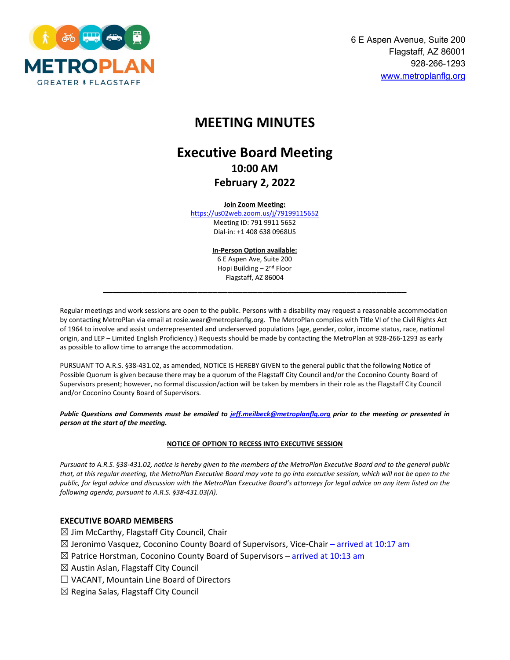

# **MEETING MINUTES**

# **Executive Board Meeting 10:00 AM February 2, 2022**

#### **Join Zoom Meeting:**

<https://us02web.zoom.us/j/79199115652> Meeting ID: 791 9911 5652 Dial-in: +1 408 638 0968US

> **In-Person Option available:** 6 E Aspen Ave, Suite 200 Hopi Building – 2nd Floor Flagstaff, AZ 86004

**\_\_\_\_\_\_\_\_\_\_\_\_\_\_\_\_\_\_\_\_\_\_\_\_\_\_\_\_\_\_\_\_\_\_\_\_\_\_\_\_\_\_\_\_\_\_\_\_\_\_\_\_\_\_\_\_\_\_\_\_\_**

Regular meetings and work sessions are open to the public. Persons with a disability may request a reasonable accommodation by contacting MetroPlan via email at rosie.wear@metroplanflg.org. The MetroPlan complies with Title VI of the Civil Rights Act of 1964 to involve and assist underrepresented and underserved populations (age, gender, color, income status, race, national origin, and LEP – Limited English Proficiency.) Requests should be made by contacting the MetroPlan at 928-266-1293 as early as possible to allow time to arrange the accommodation.

PURSUANT TO A.R.S. §38-431.02, as amended, NOTICE IS HEREBY GIVEN to the general public that the following Notice of Possible Quorum is given because there may be a quorum of the Flagstaff City Council and/or the Coconino County Board of Supervisors present; however, no formal discussion/action will be taken by members in their role as the Flagstaff City Council and/or Coconino County Board of Supervisors.

*Public Questions and Comments must be emailed to [jeff.meilbeck@metroplanflg.org](mailto:jeff.meilbeck@metroplanflg.org) prior to the meeting or presented in person at the start of the meeting.* 

#### **NOTICE OF OPTION TO RECESS INTO EXECUTIVE SESSION**

*Pursuant to A.R.S. §38-431.02, notice is hereby given to the members of the MetroPlan Executive Board and to the general public that, at this regular meeting, the MetroPlan Executive Board may vote to go into executive session, which will not be open to the public, for legal advice and discussion with the MetroPlan Executive Board's attorneys for legal advice on any item listed on the following agenda, pursuant to A.R.S. §38-431.03(A).*

#### **EXECUTIVE BOARD MEMBERS**

- $\boxtimes$  Jim McCarthy, Flagstaff City Council, Chair
- $\boxtimes$  Jeronimo Vasquez, Coconino County Board of Supervisors, Vice-Chair arrived at 10:17 am
- $\boxtimes$  Patrice Horstman, Coconino County Board of Supervisors arrived at 10:13 am
- $\boxtimes$  Austin Aslan, Flagstaff City Council
- $\Box$  VACANT, Mountain Line Board of Directors
- $\boxtimes$  Regina Salas, Flagstaff City Council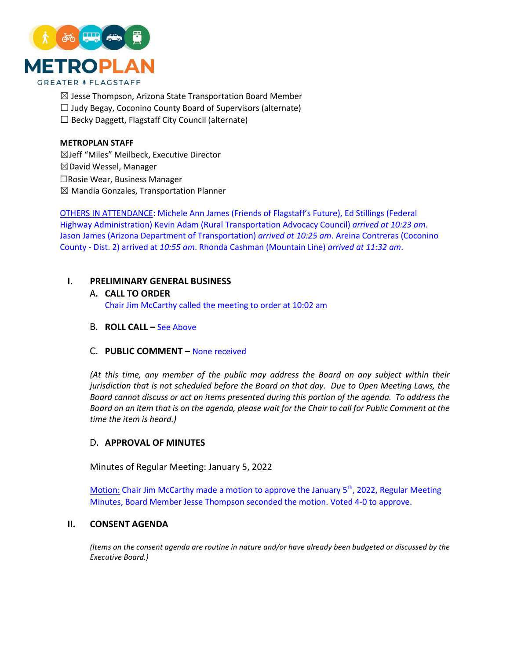

- $\boxtimes$  Jesse Thompson, Arizona State Transportation Board Member
- $\Box$  Judy Begay, Coconino County Board of Supervisors (alternate)
- $\Box$  Becky Daggett, Flagstaff City Council (alternate)

#### **METROPLAN STAFF**

☒Jeff "Miles" Meilbeck, Executive Director  $\boxtimes$ David Wessel, Manager ☐Rosie Wear, Business Manager  $\boxtimes$  Mandia Gonzales, Transportation Planner

OTHERS IN ATTENDANCE: Michele Ann James (Friends of Flagstaff's Future), Ed Stillings (Federal Highway Administration) Kevin Adam (Rural Transportation Advocacy Council) *arrived at 10:23 am*. Jason James (Arizona Department of Transportation) *arrived at 10:25 am*. Areina Contreras (Coconino County - Dist. 2) arrived at *10:55 am*. Rhonda Cashman (Mountain Line) *arrived at 11:32 am*.

#### **I. PRELIMINARY GENERAL BUSINESS**

- A. **CALL TO ORDER** Chair Jim McCarthy called the meeting to order at 10:02 am
- B. **ROLL CALL –** See Above

#### C. **PUBLIC COMMENT –** None received

*(At this time, any member of the public may address the Board on any subject within their jurisdiction that is not scheduled before the Board on that day. Due to Open Meeting Laws, the Board cannot discuss or act on items presented during this portion of the agenda. To address the Board on an item that is on the agenda, please wait for the Chair to call for Public Comment at the time the item is heard.)*

#### D. **APPROVAL OF MINUTES**

Minutes of Regular Meeting: January 5, 2022

Motion: Chair Jim McCarthy made a motion to approve the January 5<sup>th</sup>, 2022, Regular Meeting Minutes, Board Member Jesse Thompson seconded the motion. Voted 4-0 to approve.

### **II. CONSENT AGENDA**

*(Items on the consent agenda are routine in nature and/or have already been budgeted or discussed by the Executive Board.)*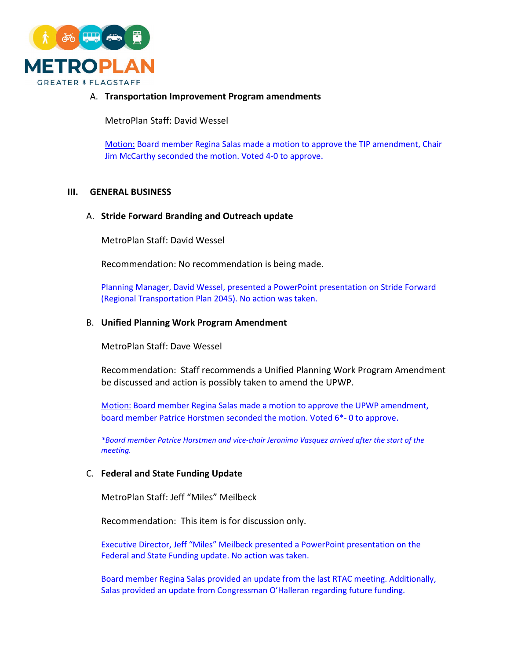

### A. **Transportation Improvement Program amendments**

MetroPlan Staff: David Wessel

Motion: Board member Regina Salas made a motion to approve the TIP amendment, Chair Jim McCarthy seconded the motion. Voted 4-0 to approve.

#### **III. GENERAL BUSINESS**

#### A. **Stride Forward Branding and Outreach update**

MetroPlan Staff: David Wessel

Recommendation: No recommendation is being made.

Planning Manager, David Wessel, presented a PowerPoint presentation on Stride Forward (Regional Transportation Plan 2045). No action was taken.

#### B. **Unified Planning Work Program Amendment**

MetroPlan Staff: Dave Wessel

Recommendation: Staff recommends a Unified Planning Work Program Amendment be discussed and action is possibly taken to amend the UPWP.

Motion: Board member Regina Salas made a motion to approve the UPWP amendment, board member Patrice Horstmen seconded the motion. Voted 6\*- 0 to approve.

*\*Board member Patrice Horstmen and vice-chair Jeronimo Vasquez arrived after the start of the meeting.* 

#### C. **Federal and State Funding Update**

MetroPlan Staff: Jeff "Miles" Meilbeck

Recommendation: This item is for discussion only.

Executive Director, Jeff "Miles" Meilbeck presented a PowerPoint presentation on the Federal and State Funding update. No action was taken.

Board member Regina Salas provided an update from the last RTAC meeting. Additionally, Salas provided an update from Congressman O'Halleran regarding future funding.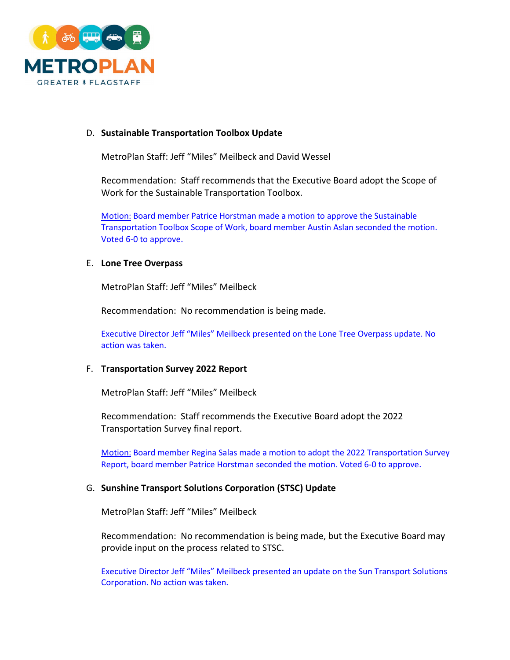

# D. **Sustainable Transportation Toolbox Update**

MetroPlan Staff: Jeff "Miles" Meilbeck and David Wessel

Recommendation: Staff recommends that the Executive Board adopt the Scope of Work for the Sustainable Transportation Toolbox.

Motion: Board member Patrice Horstman made a motion to approve the Sustainable Transportation Toolbox Scope of Work, board member Austin Aslan seconded the motion. Voted 6-0 to approve.

#### E. **Lone Tree Overpass**

MetroPlan Staff: Jeff "Miles" Meilbeck

Recommendation: No recommendation is being made.

Executive Director Jeff "Miles" Meilbeck presented on the Lone Tree Overpass update. No action was taken.

### F. **Transportation Survey 2022 Report**

MetroPlan Staff: Jeff "Miles" Meilbeck

Recommendation: Staff recommends the Executive Board adopt the 2022 Transportation Survey final report.

Motion: Board member Regina Salas made a motion to adopt the 2022 Transportation Survey Report, board member Patrice Horstman seconded the motion. Voted 6-0 to approve.

#### G. **Sunshine Transport Solutions Corporation (STSC) Update**

MetroPlan Staff: Jeff "Miles" Meilbeck

Recommendation: No recommendation is being made, but the Executive Board may provide input on the process related to STSC.

Executive Director Jeff "Miles" Meilbeck presented an update on the Sun Transport Solutions Corporation. No action was taken.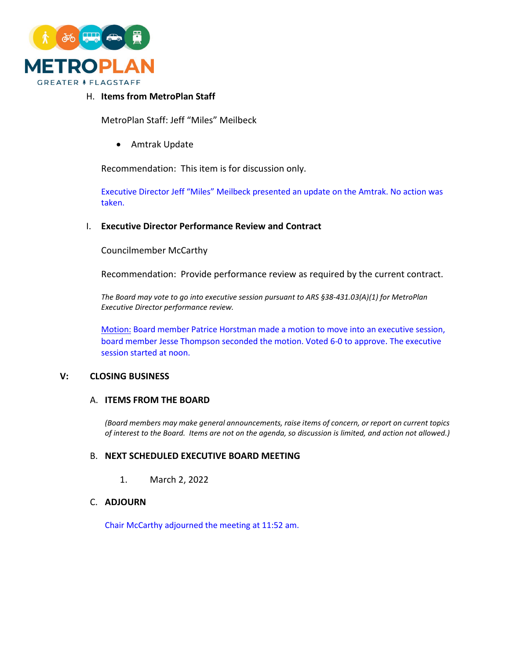

# H. **Items from MetroPlan Staff**

MetroPlan Staff: Jeff "Miles" Meilbeck

• Amtrak Update

Recommendation: This item is for discussion only.

Executive Director Jeff "Miles" Meilbeck presented an update on the Amtrak. No action was taken.

#### I. **Executive Director Performance Review and Contract**

Councilmember McCarthy

Recommendation: Provide performance review as required by the current contract.

*The Board may vote to go into executive session pursuant to ARS §38-431.03(A)(1) for MetroPlan Executive Director performance review.*

Motion: Board member Patrice Horstman made a motion to move into an executive session, board member Jesse Thompson seconded the motion. Voted 6-0 to approve. The executive session started at noon.

#### **V: CLOSING BUSINESS**

## A. **ITEMS FROM THE BOARD**

*(Board members may make general announcements, raise items of concern, or report on current topics of interest to the Board. Items are not on the agenda, so discussion is limited, and action not allowed.)*

#### B. **NEXT SCHEDULED EXECUTIVE BOARD MEETING**

1. March 2, 2022

## C. **ADJOURN**

Chair McCarthy adjourned the meeting at 11:52 am.